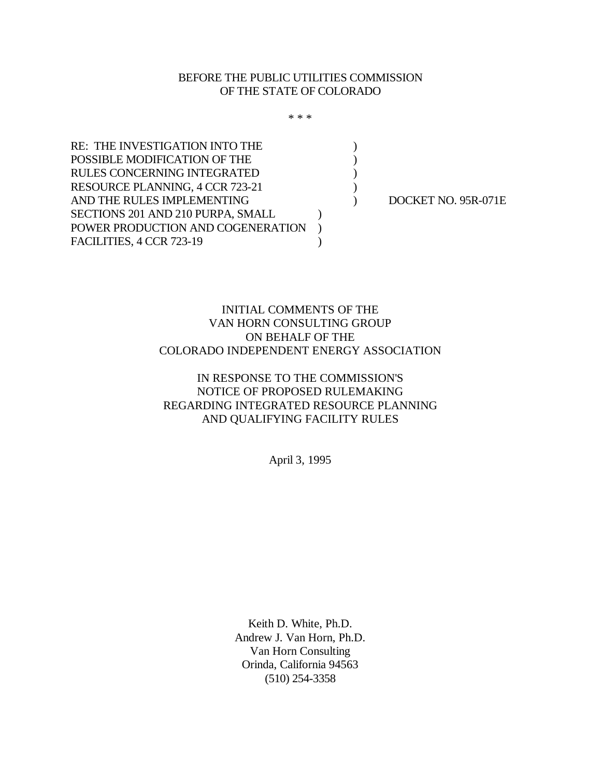### BEFORE THE PUBLIC UTILITIES COMMISSION OF THE STATE OF COLORADO

\* \* \*

RE: THE INVESTIGATION INTO THE  $($ POSSIBLE MODIFICATION OF THE  $($ RULES CONCERNING INTEGRATED  $($ RESOURCE PLANNING, 4 CCR 723-21 AND THE RULES IMPLEMENTING  $DOCKET NO. 95R-071E$ SECTIONS 201 AND 210 PURPA, SMALL  $\qquad \qquad$  ) POWER PRODUCTION AND COGENERATION ) FACILITIES, 4 CCR 723-19

# INITIAL COMMENTS OF THE VAN HORN CONSULTING GROUP ON BEHALF OF THE COLORADO INDEPENDENT ENERGY ASSOCIATION

# IN RESPONSE TO THE COMMISSION'S NOTICE OF PROPOSED RULEMAKING REGARDING INTEGRATED RESOURCE PLANNING AND QUALIFYING FACILITY RULES

April 3, 1995

Keith D. White, Ph.D. Andrew J. Van Horn, Ph.D. Van Horn Consulting Orinda, California 94563 (510) 254-3358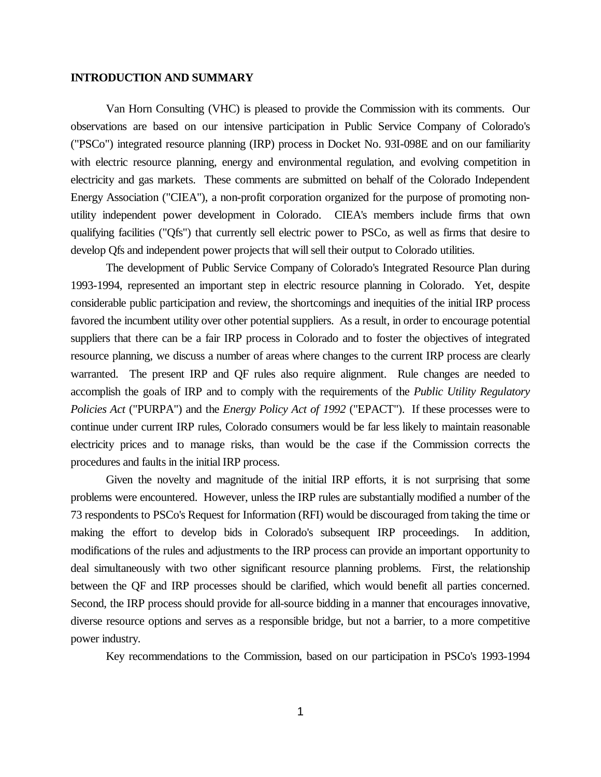#### **INTRODUCTION AND SUMMARY**

Van Horn Consulting (VHC) is pleased to provide the Commission with its comments. Our observations are based on our intensive participation in Public Service Company of Colorado's ("PSCo") integrated resource planning (IRP) process in Docket No. 93I-098E and on our familiarity with electric resource planning, energy and environmental regulation, and evolving competition in electricity and gas markets. These comments are submitted on behalf of the Colorado Independent Energy Association ("CIEA"), a non-profit corporation organized for the purpose of promoting nonutility independent power development in Colorado. CIEA's members include firms that own qualifying facilities ("Qfs") that currently sell electric power to PSCo, as well as firms that desire to develop Qfs and independent power projects that will sell their output to Colorado utilities.

The development of Public Service Company of Colorado's Integrated Resource Plan during 1993-1994, represented an important step in electric resource planning in Colorado. Yet, despite considerable public participation and review, the shortcomings and inequities of the initial IRP process favored the incumbent utility over other potential suppliers. As a result, in order to encourage potential suppliers that there can be a fair IRP process in Colorado and to foster the objectives of integrated resource planning, we discuss a number of areas where changes to the current IRP process are clearly warranted. The present IRP and QF rules also require alignment. Rule changes are needed to accomplish the goals of IRP and to comply with the requirements of the *Public Utility Regulatory Policies Act* ("PURPA") and the *Energy Policy Act of 1992* ("EPACT"). If these processes were to continue under current IRP rules, Colorado consumers would be far less likely to maintain reasonable electricity prices and to manage risks, than would be the case if the Commission corrects the procedures and faults in the initial IRP process.

Given the novelty and magnitude of the initial IRP efforts, it is not surprising that some problems were encountered. However, unless the IRP rules are substantially modified a number of the 73 respondents to PSCo's Request for Information (RFI) would be discouraged from taking the time or making the effort to develop bids in Colorado's subsequent IRP proceedings. In addition, modifications of the rules and adjustments to the IRP process can provide an important opportunity to deal simultaneously with two other significant resource planning problems. First, the relationship between the QF and IRP processes should be clarified, which would benefit all parties concerned. Second, the IRP process should provide for all-source bidding in a manner that encourages innovative, diverse resource options and serves as a responsible bridge, but not a barrier, to a more competitive power industry.

Key recommendations to the Commission, based on our participation in PSCo's 1993-1994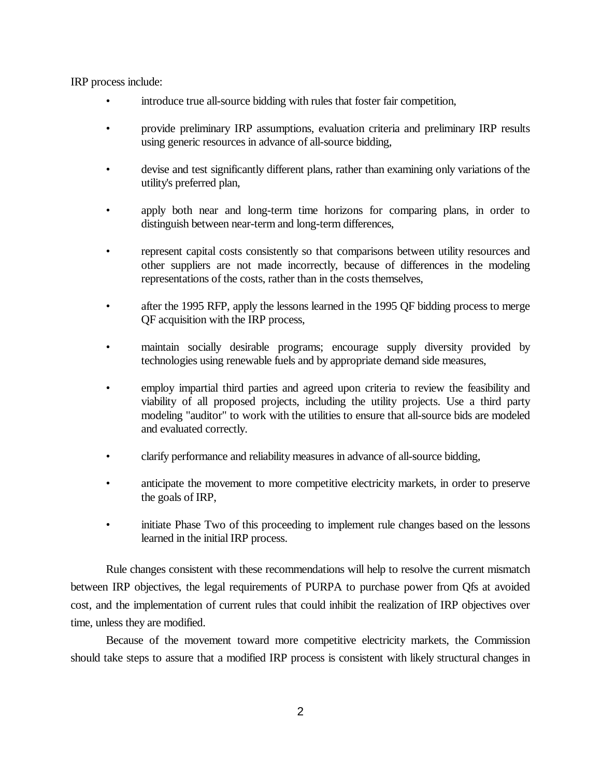IRP process include:

- introduce true all-source bidding with rules that foster fair competition,
- provide preliminary IRP assumptions, evaluation criteria and preliminary IRP results using generic resources in advance of all-source bidding,
- devise and test significantly different plans, rather than examining only variations of the utility's preferred plan,
- apply both near and long-term time horizons for comparing plans, in order to distinguish between near-term and long-term differences,
- represent capital costs consistently so that comparisons between utility resources and other suppliers are not made incorrectly, because of differences in the modeling representations of the costs, rather than in the costs themselves,
- after the 1995 RFP, apply the lessons learned in the 1995 QF bidding process to merge QF acquisition with the IRP process,
- maintain socially desirable programs; encourage supply diversity provided by technologies using renewable fuels and by appropriate demand side measures,
- employ impartial third parties and agreed upon criteria to review the feasibility and viability of all proposed projects, including the utility projects. Use a third party modeling "auditor" to work with the utilities to ensure that all-source bids are modeled and evaluated correctly.
- clarify performance and reliability measures in advance of all-source bidding,
- anticipate the movement to more competitive electricity markets, in order to preserve the goals of IRP,
- initiate Phase Two of this proceeding to implement rule changes based on the lessons learned in the initial IRP process.

Rule changes consistent with these recommendations will help to resolve the current mismatch between IRP objectives, the legal requirements of PURPA to purchase power from Qfs at avoided cost, and the implementation of current rules that could inhibit the realization of IRP objectives over time, unless they are modified.

Because of the movement toward more competitive electricity markets, the Commission should take steps to assure that a modified IRP process is consistent with likely structural changes in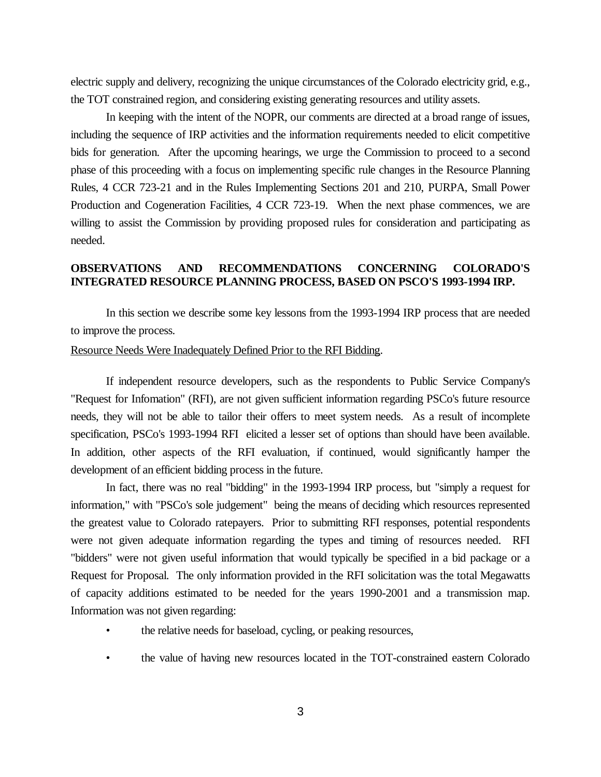electric supply and delivery, recognizing the unique circumstances of the Colorado electricity grid, e.g., the TOT constrained region, and considering existing generating resources and utility assets.

In keeping with the intent of the NOPR, our comments are directed at a broad range of issues, including the sequence of IRP activities and the information requirements needed to elicit competitive bids for generation. After the upcoming hearings, we urge the Commission to proceed to a second phase of this proceeding with a focus on implementing specific rule changes in the Resource Planning Rules, 4 CCR 723-21 and in the Rules Implementing Sections 201 and 210, PURPA, Small Power Production and Cogeneration Facilities, 4 CCR 723-19. When the next phase commences, we are willing to assist the Commission by providing proposed rules for consideration and participating as needed.

#### **OBSERVATIONS AND RECOMMENDATIONS CONCERNING COLORADO'S INTEGRATED RESOURCE PLANNING PROCESS, BASED ON PSCO'S 1993-1994 IRP.**

In this section we describe some key lessons from the 1993-1994 IRP process that are needed to improve the process.

#### Resource Needs Were Inadequately Defined Prior to the RFI Bidding.

If independent resource developers, such as the respondents to Public Service Company's "Request for Infomation" (RFI), are not given sufficient information regarding PSCo's future resource needs, they will not be able to tailor their offers to meet system needs. As a result of incomplete specification, PSCo's 1993-1994 RFI elicited a lesser set of options than should have been available. In addition, other aspects of the RFI evaluation, if continued, would significantly hamper the development of an efficient bidding process in the future.

In fact, there was no real "bidding" in the 1993-1994 IRP process, but "simply a request for information," with "PSCo's sole judgement" being the means of deciding which resources represented the greatest value to Colorado ratepayers. Prior to submitting RFI responses, potential respondents were not given adequate information regarding the types and timing of resources needed. RFI "bidders" were not given useful information that would typically be specified in a bid package or a Request for Proposal. The only information provided in the RFI solicitation was the total Megawatts of capacity additions estimated to be needed for the years 1990-2001 and a transmission map. Information was not given regarding:

- the relative needs for baseload, cycling, or peaking resources,
- the value of having new resources located in the TOT-constrained eastern Colorado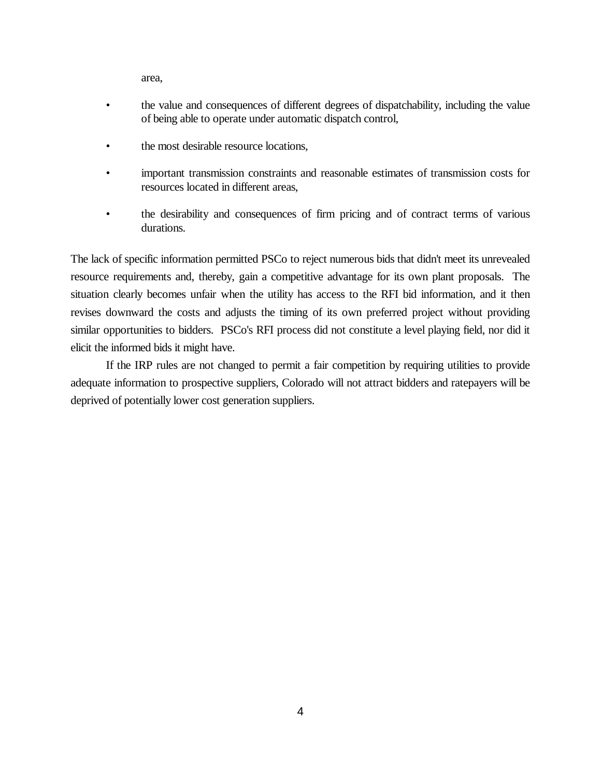area,

- the value and consequences of different degrees of dispatchability, including the value of being able to operate under automatic dispatch control,
- the most desirable resource locations,
- important transmission constraints and reasonable estimates of transmission costs for resources located in different areas,
- the desirability and consequences of firm pricing and of contract terms of various durations.

The lack of specific information permitted PSCo to reject numerous bids that didn't meet its unrevealed resource requirements and, thereby, gain a competitive advantage for its own plant proposals. The situation clearly becomes unfair when the utility has access to the RFI bid information, and it then revises downward the costs and adjusts the timing of its own preferred project without providing similar opportunities to bidders. PSCo's RFI process did not constitute a level playing field, nor did it elicit the informed bids it might have.

If the IRP rules are not changed to permit a fair competition by requiring utilities to provide adequate information to prospective suppliers, Colorado will not attract bidders and ratepayers will be deprived of potentially lower cost generation suppliers.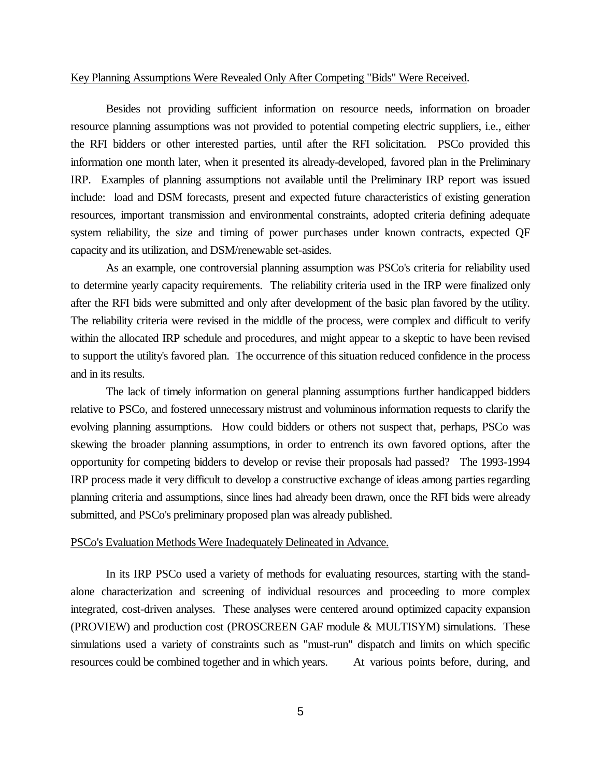#### Key Planning Assumptions Were Revealed Only After Competing "Bids" Were Received.

Besides not providing sufficient information on resource needs, information on broader resource planning assumptions was not provided to potential competing electric suppliers, i.e., either the RFI bidders or other interested parties, until after the RFI solicitation. PSCo provided this information one month later, when it presented its already-developed, favored plan in the Preliminary IRP. Examples of planning assumptions not available until the Preliminary IRP report was issued include: load and DSM forecasts, present and expected future characteristics of existing generation resources, important transmission and environmental constraints, adopted criteria defining adequate system reliability, the size and timing of power purchases under known contracts, expected QF capacity and its utilization, and DSM/renewable set-asides.

As an example, one controversial planning assumption was PSCo's criteria for reliability used to determine yearly capacity requirements. The reliability criteria used in the IRP were finalized only after the RFI bids were submitted and only after development of the basic plan favored by the utility. The reliability criteria were revised in the middle of the process, were complex and difficult to verify within the allocated IRP schedule and procedures, and might appear to a skeptic to have been revised to support the utility's favored plan. The occurrence of this situation reduced confidence in the process and in its results.

The lack of timely information on general planning assumptions further handicapped bidders relative to PSCo, and fostered unnecessary mistrust and voluminous information requests to clarify the evolving planning assumptions. How could bidders or others not suspect that, perhaps, PSCo was skewing the broader planning assumptions, in order to entrench its own favored options, after the opportunity for competing bidders to develop or revise their proposals had passed? The 1993-1994 IRP process made it very difficult to develop a constructive exchange of ideas among parties regarding planning criteria and assumptions, since lines had already been drawn, once the RFI bids were already submitted, and PSCo's preliminary proposed plan was already published.

#### PSCo's Evaluation Methods Were Inadequately Delineated in Advance.

In its IRP PSCo used a variety of methods for evaluating resources, starting with the standalone characterization and screening of individual resources and proceeding to more complex integrated, cost-driven analyses. These analyses were centered around optimized capacity expansion (PROVIEW) and production cost (PROSCREEN GAF module & MULTISYM) simulations. These simulations used a variety of constraints such as "must-run" dispatch and limits on which specific resources could be combined together and in which years. At various points before, during, and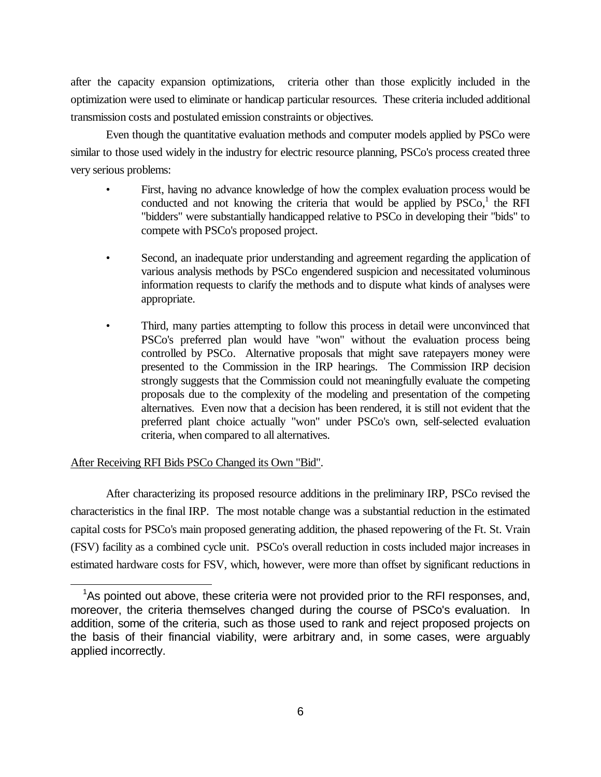after the capacity expansion optimizations, criteria other than those explicitly included in the optimization were used to eliminate or handicap particular resources. These criteria included additional transmission costs and postulated emission constraints or objectives.

Even though the quantitative evaluation methods and computer models applied by PSCo were similar to those used widely in the industry for electric resource planning, PSCo's process created three very serious problems:

- First, having no advance knowledge of how the complex evaluation process would be conducted and not knowing the criteria that would be applied by  $PSCo<sub>1</sub>$ <sup>1</sup> the RFI "bidders" were substantially handicapped relative to PSCo in developing their "bids" to compete with PSCo's proposed project.
- Second, an inadequate prior understanding and agreement regarding the application of various analysis methods by PSCo engendered suspicion and necessitated voluminous information requests to clarify the methods and to dispute what kinds of analyses were appropriate.
- Third, many parties attempting to follow this process in detail were unconvinced that PSCo's preferred plan would have "won" without the evaluation process being controlled by PSCo. Alternative proposals that might save ratepayers money were presented to the Commission in the IRP hearings. The Commission IRP decision strongly suggests that the Commission could not meaningfully evaluate the competing proposals due to the complexity of the modeling and presentation of the competing alternatives. Even now that a decision has been rendered, it is still not evident that the preferred plant choice actually "won" under PSCo's own, self-selected evaluation criteria, when compared to all alternatives.

### After Receiving RFI Bids PSCo Changed its Own "Bid".

After characterizing its proposed resource additions in the preliminary IRP, PSCo revised the characteristics in the final IRP. The most notable change was a substantial reduction in the estimated capital costs for PSCo's main proposed generating addition, the phased repowering of the Ft. St. Vrain (FSV) facility as a combined cycle unit. PSCo's overall reduction in costs included major increases in estimated hardware costs for FSV, which, however, were more than offset by significant reductions in

<sup>&</sup>lt;sup>1</sup>As pointed out above, these criteria were not provided prior to the RFI responses, and, moreover, the criteria themselves changed during the course of PSCo's evaluation. In addition, some of the criteria, such as those used to rank and reject proposed projects on the basis of their financial viability, were arbitrary and, in some cases, were arguably applied incorrectly.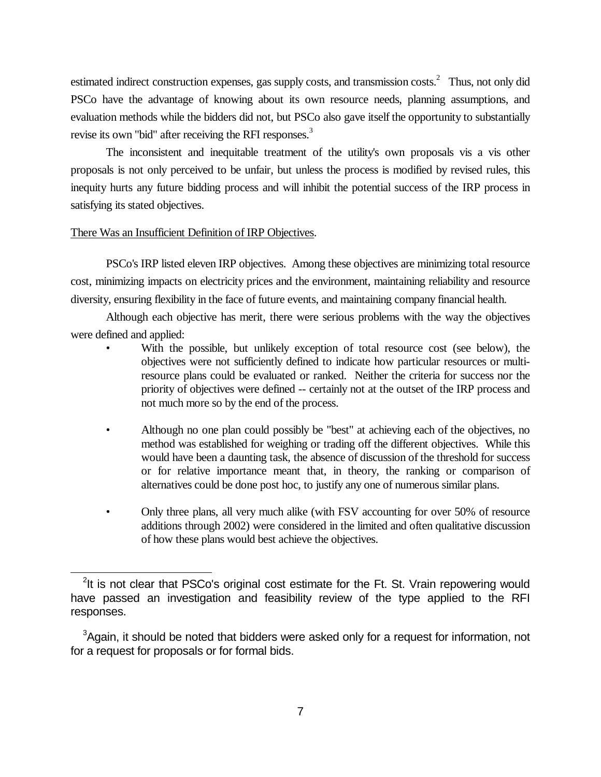estimated indirect construction expenses, gas supply costs, and transmission costs.<sup>2</sup> Thus, not only did PSCo have the advantage of knowing about its own resource needs, planning assumptions, and evaluation methods while the bidders did not, but PSCo also gave itself the opportunity to substantially revise its own "bid" after receiving the RFI responses.<sup>3</sup>

The inconsistent and inequitable treatment of the utility's own proposals vis a vis other proposals is not only perceived to be unfair, but unless the process is modified by revised rules, this inequity hurts any future bidding process and will inhibit the potential success of the IRP process in satisfying its stated objectives.

#### There Was an Insufficient Definition of IRP Objectives.

PSCo's IRP listed eleven IRP objectives. Among these objectives are minimizing total resource cost, minimizing impacts on electricity prices and the environment, maintaining reliability and resource diversity, ensuring flexibility in the face of future events, and maintaining company financial health.

Although each objective has merit, there were serious problems with the way the objectives were defined and applied:

- With the possible, but unlikely exception of total resource cost (see below), the objectives were not sufficiently defined to indicate how particular resources or multiresource plans could be evaluated or ranked. Neither the criteria for success nor the priority of objectives were defined -- certainly not at the outset of the IRP process and not much more so by the end of the process.
- Although no one plan could possibly be "best" at achieving each of the objectives, no method was established for weighing or trading off the different objectives. While this would have been a daunting task, the absence of discussion of the threshold for success or for relative importance meant that, in theory, the ranking or comparison of alternatives could be done post hoc, to justify any one of numerous similar plans.
- Only three plans, all very much alike (with FSV accounting for over 50% of resource additions through 2002) were considered in the limited and often qualitative discussion of how these plans would best achieve the objectives.

 $2$ It is not clear that PSCo's original cost estimate for the Ft. St. Vrain repowering would have passed an investigation and feasibility review of the type applied to the RFI responses.

 $3$ Again, it should be noted that bidders were asked only for a request for information, not for a request for proposals or for formal bids.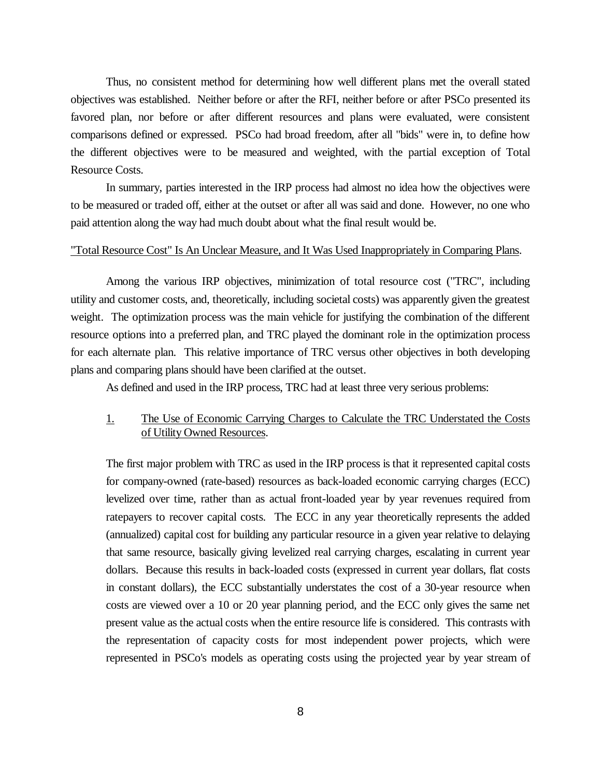Thus, no consistent method for determining how well different plans met the overall stated objectives was established. Neither before or after the RFI, neither before or after PSCo presented its favored plan, nor before or after different resources and plans were evaluated, were consistent comparisons defined or expressed. PSCo had broad freedom, after all "bids" were in, to define how the different objectives were to be measured and weighted, with the partial exception of Total Resource Costs.

In summary, parties interested in the IRP process had almost no idea how the objectives were to be measured or traded off, either at the outset or after all was said and done. However, no one who paid attention along the way had much doubt about what the final result would be.

#### "Total Resource Cost" Is An Unclear Measure, and It Was Used Inappropriately in Comparing Plans.

Among the various IRP objectives, minimization of total resource cost ("TRC", including utility and customer costs, and, theoretically, including societal costs) was apparently given the greatest weight. The optimization process was the main vehicle for justifying the combination of the different resource options into a preferred plan, and TRC played the dominant role in the optimization process for each alternate plan. This relative importance of TRC versus other objectives in both developing plans and comparing plans should have been clarified at the outset.

As defined and used in the IRP process, TRC had at least three very serious problems:

#### 1. The Use of Economic Carrying Charges to Calculate the TRC Understated the Costs of Utility Owned Resources.

The first major problem with TRC as used in the IRP process is that it represented capital costs for company-owned (rate-based) resources as back-loaded economic carrying charges (ECC) levelized over time, rather than as actual front-loaded year by year revenues required from ratepayers to recover capital costs. The ECC in any year theoretically represents the added (annualized) capital cost for building any particular resource in a given year relative to delaying that same resource, basically giving levelized real carrying charges, escalating in current year dollars. Because this results in back-loaded costs (expressed in current year dollars, flat costs in constant dollars), the ECC substantially understates the cost of a 30-year resource when costs are viewed over a 10 or 20 year planning period, and the ECC only gives the same net present value as the actual costs when the entire resource life is considered. This contrasts with the representation of capacity costs for most independent power projects, which were represented in PSCo's models as operating costs using the projected year by year stream of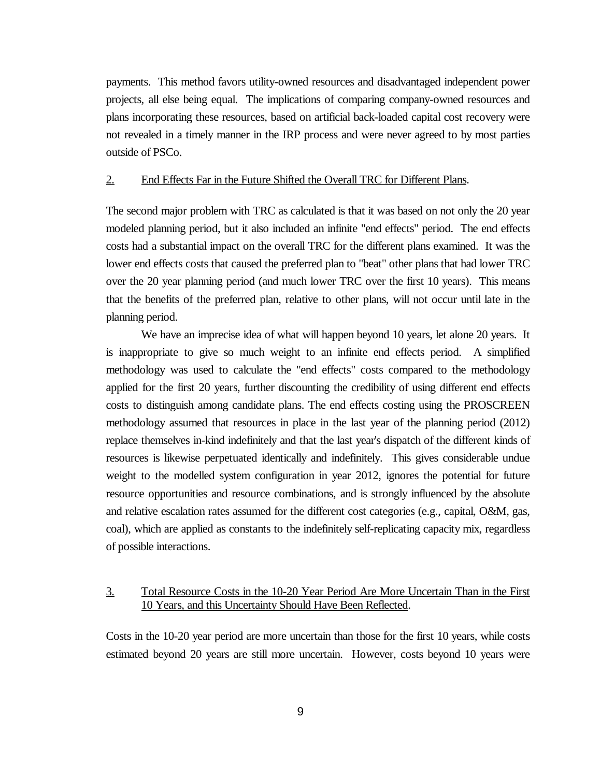payments. This method favors utility-owned resources and disadvantaged independent power projects, all else being equal. The implications of comparing company-owned resources and plans incorporating these resources, based on artificial back-loaded capital cost recovery were not revealed in a timely manner in the IRP process and were never agreed to by most parties outside of PSCo.

#### 2. End Effects Far in the Future Shifted the Overall TRC for Different Plans.

The second major problem with TRC as calculated is that it was based on not only the 20 year modeled planning period, but it also included an infinite "end effects" period. The end effects costs had a substantial impact on the overall TRC for the different plans examined. It was the lower end effects costs that caused the preferred plan to "beat" other plans that had lower TRC over the 20 year planning period (and much lower TRC over the first 10 years). This means that the benefits of the preferred plan, relative to other plans, will not occur until late in the planning period.

We have an imprecise idea of what will happen beyond 10 years, let alone 20 years. It is inappropriate to give so much weight to an infinite end effects period. A simplified methodology was used to calculate the "end effects" costs compared to the methodology applied for the first 20 years, further discounting the credibility of using different end effects costs to distinguish among candidate plans. The end effects costing using the PROSCREEN methodology assumed that resources in place in the last year of the planning period (2012) replace themselves in-kind indefinitely and that the last year's dispatch of the different kinds of resources is likewise perpetuated identically and indefinitely. This gives considerable undue weight to the modelled system configuration in year 2012, ignores the potential for future resource opportunities and resource combinations, and is strongly influenced by the absolute and relative escalation rates assumed for the different cost categories (e.g., capital, O&M, gas, coal), which are applied as constants to the indefinitely self-replicating capacity mix, regardless of possible interactions.

## 3. Total Resource Costs in the 10-20 Year Period Are More Uncertain Than in the First 10 Years, and this Uncertainty Should Have Been Reflected.

Costs in the 10-20 year period are more uncertain than those for the first 10 years, while costs estimated beyond 20 years are still more uncertain. However, costs beyond 10 years were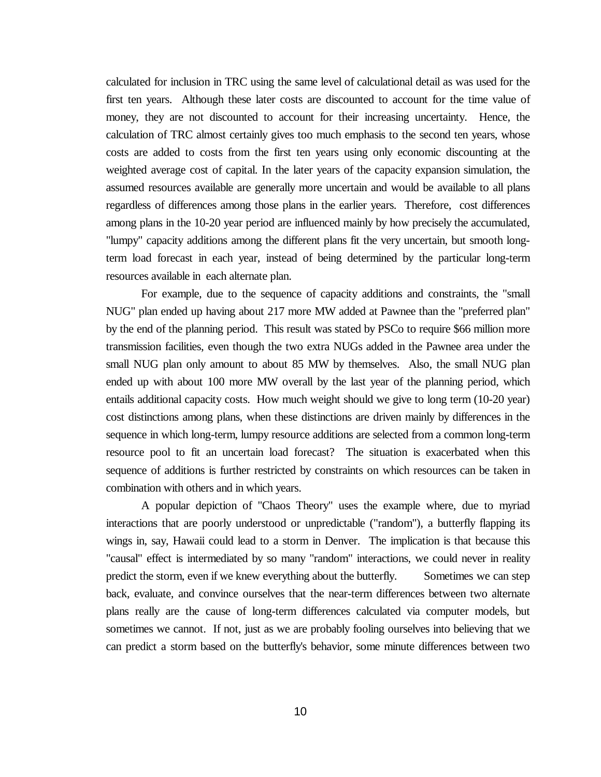calculated for inclusion in TRC using the same level of calculational detail as was used for the first ten years. Although these later costs are discounted to account for the time value of money, they are not discounted to account for their increasing uncertainty. Hence, the calculation of TRC almost certainly gives too much emphasis to the second ten years, whose costs are added to costs from the first ten years using only economic discounting at the weighted average cost of capital. In the later years of the capacity expansion simulation, the assumed resources available are generally more uncertain and would be available to all plans regardless of differences among those plans in the earlier years. Therefore, cost differences among plans in the 10-20 year period are influenced mainly by how precisely the accumulated, "lumpy" capacity additions among the different plans fit the very uncertain, but smooth longterm load forecast in each year, instead of being determined by the particular long-term resources available in each alternate plan.

For example, due to the sequence of capacity additions and constraints, the "small NUG" plan ended up having about 217 more MW added at Pawnee than the "preferred plan" by the end of the planning period. This result was stated by PSCo to require \$66 million more transmission facilities, even though the two extra NUGs added in the Pawnee area under the small NUG plan only amount to about 85 MW by themselves. Also, the small NUG plan ended up with about 100 more MW overall by the last year of the planning period, which entails additional capacity costs. How much weight should we give to long term (10-20 year) cost distinctions among plans, when these distinctions are driven mainly by differences in the sequence in which long-term, lumpy resource additions are selected from a common long-term resource pool to fit an uncertain load forecast? The situation is exacerbated when this sequence of additions is further restricted by constraints on which resources can be taken in combination with others and in which years.

A popular depiction of "Chaos Theory" uses the example where, due to myriad interactions that are poorly understood or unpredictable ("random"), a butterfly flapping its wings in, say, Hawaii could lead to a storm in Denver. The implication is that because this "causal" effect is intermediated by so many "random" interactions, we could never in reality predict the storm, even if we knew everything about the butterfly. Sometimes we can step back, evaluate, and convince ourselves that the near-term differences between two alternate plans really are the cause of long-term differences calculated via computer models, but sometimes we cannot. If not, just as we are probably fooling ourselves into believing that we can predict a storm based on the butterfly's behavior, some minute differences between two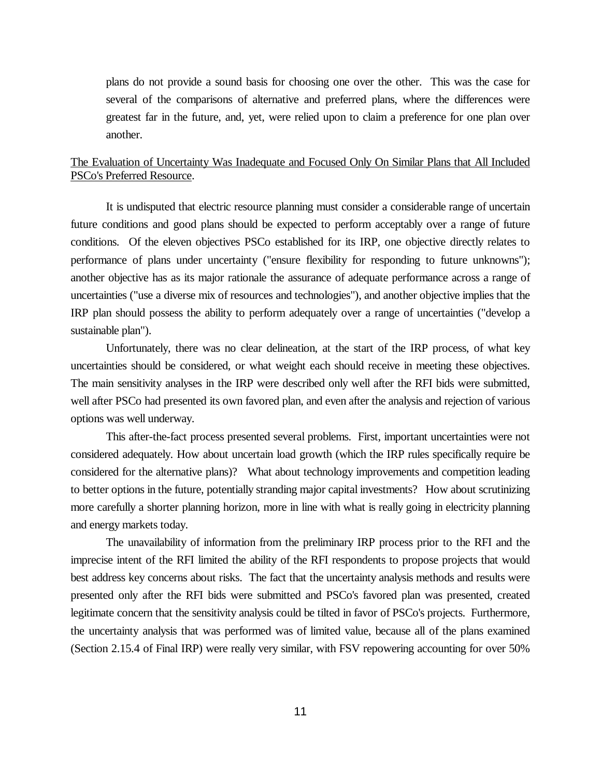plans do not provide a sound basis for choosing one over the other. This was the case for several of the comparisons of alternative and preferred plans, where the differences were greatest far in the future, and, yet, were relied upon to claim a preference for one plan over another.

## The Evaluation of Uncertainty Was Inadequate and Focused Only On Similar Plans that All Included PSCo's Preferred Resource.

It is undisputed that electric resource planning must consider a considerable range of uncertain future conditions and good plans should be expected to perform acceptably over a range of future conditions. Of the eleven objectives PSCo established for its IRP, one objective directly relates to performance of plans under uncertainty ("ensure flexibility for responding to future unknowns"); another objective has as its major rationale the assurance of adequate performance across a range of uncertainties ("use a diverse mix of resources and technologies"), and another objective implies that the IRP plan should possess the ability to perform adequately over a range of uncertainties ("develop a sustainable plan").

Unfortunately, there was no clear delineation, at the start of the IRP process, of what key uncertainties should be considered, or what weight each should receive in meeting these objectives. The main sensitivity analyses in the IRP were described only well after the RFI bids were submitted, well after PSCo had presented its own favored plan, and even after the analysis and rejection of various options was well underway.

This after-the-fact process presented several problems. First, important uncertainties were not considered adequately. How about uncertain load growth (which the IRP rules specifically require be considered for the alternative plans)? What about technology improvements and competition leading to better options in the future, potentially stranding major capital investments? How about scrutinizing more carefully a shorter planning horizon, more in line with what is really going in electricity planning and energy markets today.

The unavailability of information from the preliminary IRP process prior to the RFI and the imprecise intent of the RFI limited the ability of the RFI respondents to propose projects that would best address key concerns about risks. The fact that the uncertainty analysis methods and results were presented only after the RFI bids were submitted and PSCo's favored plan was presented, created legitimate concern that the sensitivity analysis could be tilted in favor of PSCo's projects. Furthermore, the uncertainty analysis that was performed was of limited value, because all of the plans examined (Section 2.15.4 of Final IRP) were really very similar, with FSV repowering accounting for over 50%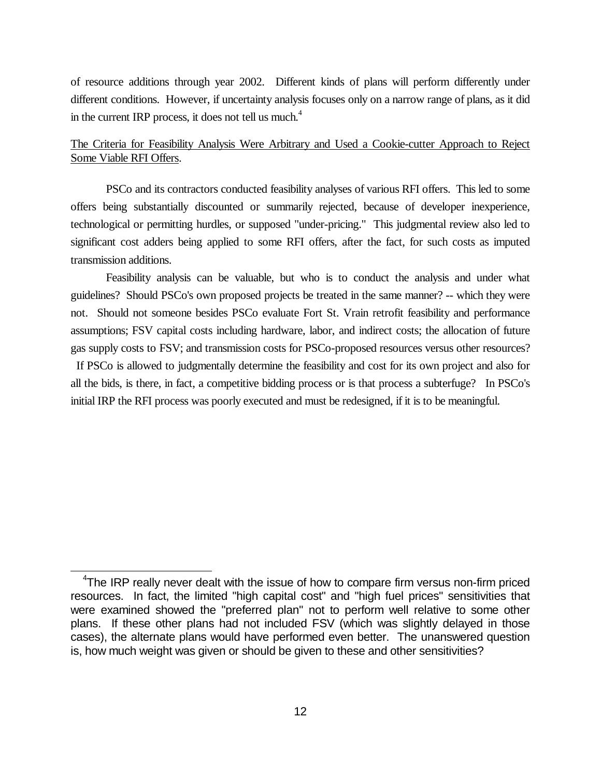of resource additions through year 2002. Different kinds of plans will perform differently under different conditions. However, if uncertainty analysis focuses only on a narrow range of plans, as it did in the current IRP process, it does not tell us much. $4$ 

## The Criteria for Feasibility Analysis Were Arbitrary and Used a Cookie-cutter Approach to Reject Some Viable RFI Offers.

PSCo and its contractors conducted feasibility analyses of various RFI offers. This led to some offers being substantially discounted or summarily rejected, because of developer inexperience, technological or permitting hurdles, or supposed "under-pricing." This judgmental review also led to significant cost adders being applied to some RFI offers, after the fact, for such costs as imputed transmission additions.

Feasibility analysis can be valuable, but who is to conduct the analysis and under what guidelines? Should PSCo's own proposed projects be treated in the same manner? -- which they were not. Should not someone besides PSCo evaluate Fort St. Vrain retrofit feasibility and performance assumptions; FSV capital costs including hardware, labor, and indirect costs; the allocation of future gas supply costs to FSV; and transmission costs for PSCo-proposed resources versus other resources?

If PSCo is allowed to judgmentally determine the feasibility and cost for its own project and also for all the bids, is there, in fact, a competitive bidding process or is that process a subterfuge? In PSCo's initial IRP the RFI process was poorly executed and must be redesigned, if it is to be meaningful.

<sup>&</sup>lt;sup>4</sup>The IRP really never dealt with the issue of how to compare firm versus non-firm priced resources. In fact, the limited "high capital cost" and "high fuel prices" sensitivities that were examined showed the "preferred plan" not to perform well relative to some other plans. If these other plans had not included FSV (which was slightly delayed in those cases), the alternate plans would have performed even better. The unanswered question is, how much weight was given or should be given to these and other sensitivities?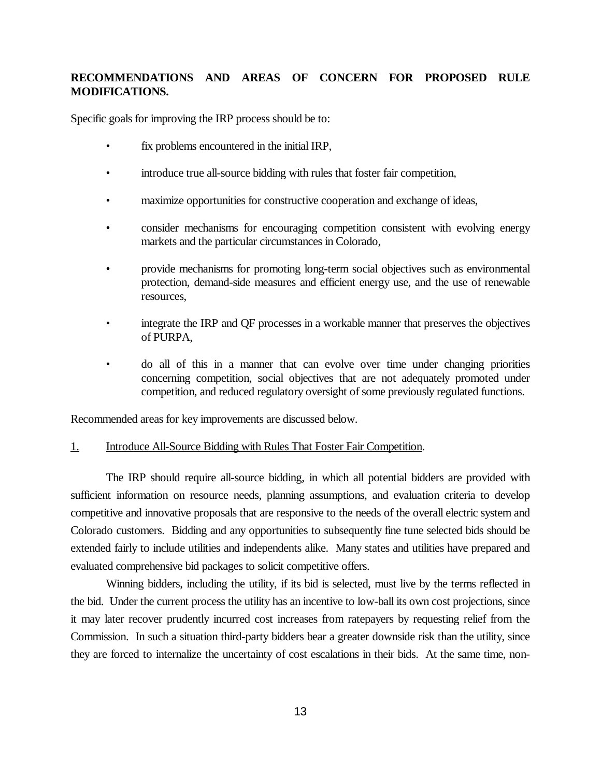# **RECOMMENDATIONS AND AREAS OF CONCERN FOR PROPOSED RULE MODIFICATIONS.**

Specific goals for improving the IRP process should be to:

- fix problems encountered in the initial IRP,
- introduce true all-source bidding with rules that foster fair competition,
- maximize opportunities for constructive cooperation and exchange of ideas,
- consider mechanisms for encouraging competition consistent with evolving energy markets and the particular circumstances in Colorado,
- provide mechanisms for promoting long-term social objectives such as environmental protection, demand-side measures and efficient energy use, and the use of renewable resources,
- integrate the IRP and QF processes in a workable manner that preserves the objectives of PURPA,
- do all of this in a manner that can evolve over time under changing priorities concerning competition, social objectives that are not adequately promoted under competition, and reduced regulatory oversight of some previously regulated functions.

Recommended areas for key improvements are discussed below.

#### 1. Introduce All-Source Bidding with Rules That Foster Fair Competition.

The IRP should require all-source bidding, in which all potential bidders are provided with sufficient information on resource needs, planning assumptions, and evaluation criteria to develop competitive and innovative proposals that are responsive to the needs of the overall electric system and Colorado customers. Bidding and any opportunities to subsequently fine tune selected bids should be extended fairly to include utilities and independents alike. Many states and utilities have prepared and evaluated comprehensive bid packages to solicit competitive offers.

Winning bidders, including the utility, if its bid is selected, must live by the terms reflected in the bid. Under the current process the utility has an incentive to low-ball its own cost projections, since it may later recover prudently incurred cost increases from ratepayers by requesting relief from the Commission. In such a situation third-party bidders bear a greater downside risk than the utility, since they are forced to internalize the uncertainty of cost escalations in their bids. At the same time, non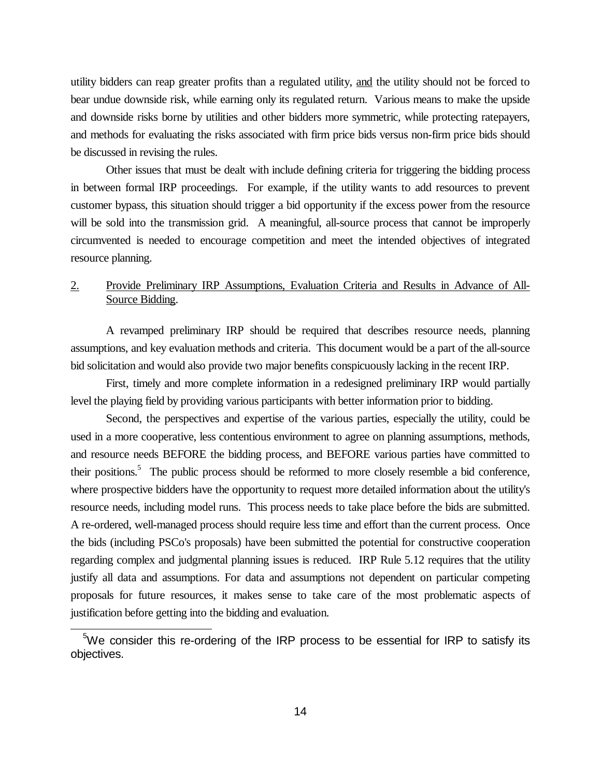utility bidders can reap greater profits than a regulated utility, and the utility should not be forced to bear undue downside risk, while earning only its regulated return. Various means to make the upside and downside risks borne by utilities and other bidders more symmetric, while protecting ratepayers, and methods for evaluating the risks associated with firm price bids versus non-firm price bids should be discussed in revising the rules.

Other issues that must be dealt with include defining criteria for triggering the bidding process in between formal IRP proceedings. For example, if the utility wants to add resources to prevent customer bypass, this situation should trigger a bid opportunity if the excess power from the resource will be sold into the transmission grid. A meaningful, all-source process that cannot be improperly circumvented is needed to encourage competition and meet the intended objectives of integrated resource planning.

## 2. Provide Preliminary IRP Assumptions, Evaluation Criteria and Results in Advance of All-Source Bidding.

A revamped preliminary IRP should be required that describes resource needs, planning assumptions, and key evaluation methods and criteria. This document would be a part of the all-source bid solicitation and would also provide two major benefits conspicuously lacking in the recent IRP.

First, timely and more complete information in a redesigned preliminary IRP would partially level the playing field by providing various participants with better information prior to bidding.

Second, the perspectives and expertise of the various parties, especially the utility, could be used in a more cooperative, less contentious environment to agree on planning assumptions, methods, and resource needs BEFORE the bidding process, and BEFORE various parties have committed to their positions.<sup>5</sup> The public process should be reformed to more closely resemble a bid conference, where prospective bidders have the opportunity to request more detailed information about the utility's resource needs, including model runs. This process needs to take place before the bids are submitted. A re-ordered, well-managed process should require less time and effort than the current process. Once the bids (including PSCo's proposals) have been submitted the potential for constructive cooperation regarding complex and judgmental planning issues is reduced. IRP Rule 5.12 requires that the utility justify all data and assumptions. For data and assumptions not dependent on particular competing proposals for future resources, it makes sense to take care of the most problematic aspects of justification before getting into the bidding and evaluation.

 $5$ We consider this re-ordering of the IRP process to be essential for IRP to satisfy its objectives.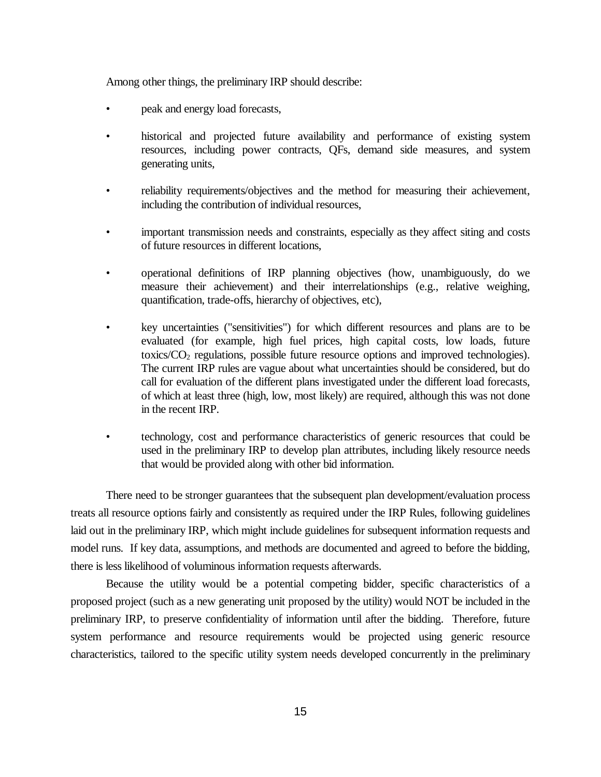Among other things, the preliminary IRP should describe:

- peak and energy load forecasts,
- historical and projected future availability and performance of existing system resources, including power contracts, QFs, demand side measures, and system generating units,
- reliability requirements/objectives and the method for measuring their achievement, including the contribution of individual resources,
- important transmission needs and constraints, especially as they affect siting and costs of future resources in different locations,
- operational definitions of IRP planning objectives (how, unambiguously, do we measure their achievement) and their interrelationships (e.g., relative weighing, quantification, trade-offs, hierarchy of objectives, etc),
- key uncertainties ("sensitivities") for which different resources and plans are to be evaluated (for example, high fuel prices, high capital costs, low loads, future toxics/ $CO<sub>2</sub>$  regulations, possible future resource options and improved technologies). The current IRP rules are vague about what uncertainties should be considered, but do call for evaluation of the different plans investigated under the different load forecasts, of which at least three (high, low, most likely) are required, although this was not done in the recent IRP.
- technology, cost and performance characteristics of generic resources that could be used in the preliminary IRP to develop plan attributes, including likely resource needs that would be provided along with other bid information.

There need to be stronger guarantees that the subsequent plan development/evaluation process treats all resource options fairly and consistently as required under the IRP Rules, following guidelines laid out in the preliminary IRP, which might include guidelines for subsequent information requests and model runs. If key data, assumptions, and methods are documented and agreed to before the bidding, there is less likelihood of voluminous information requests afterwards.

Because the utility would be a potential competing bidder, specific characteristics of a proposed project (such as a new generating unit proposed by the utility) would NOT be included in the preliminary IRP, to preserve confidentiality of information until after the bidding. Therefore, future system performance and resource requirements would be projected using generic resource characteristics, tailored to the specific utility system needs developed concurrently in the preliminary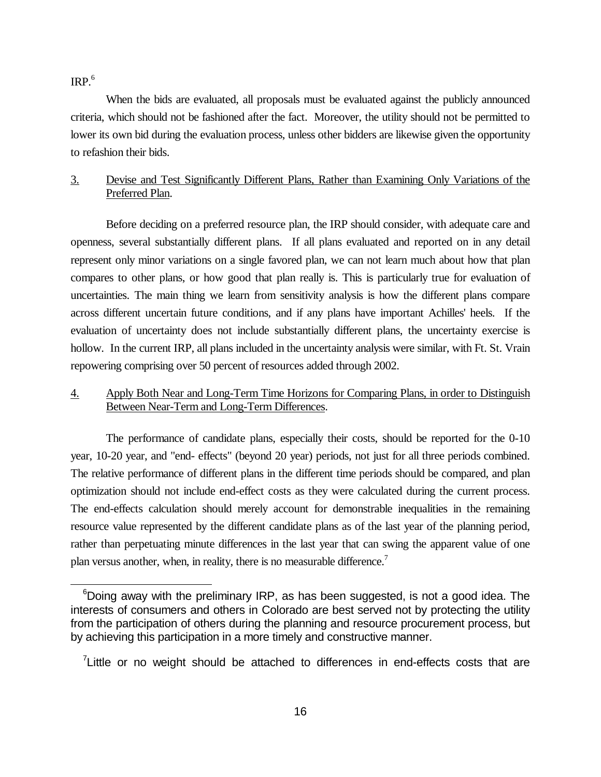$IRP<sub>6</sub>$ 

When the bids are evaluated, all proposals must be evaluated against the publicly announced criteria, which should not be fashioned after the fact. Moreover, the utility should not be permitted to lower its own bid during the evaluation process, unless other bidders are likewise given the opportunity to refashion their bids.

# 3. Devise and Test Significantly Different Plans, Rather than Examining Only Variations of the Preferred Plan.

Before deciding on a preferred resource plan, the IRP should consider, with adequate care and openness, several substantially different plans. If all plans evaluated and reported on in any detail represent only minor variations on a single favored plan, we can not learn much about how that plan compares to other plans, or how good that plan really is. This is particularly true for evaluation of uncertainties. The main thing we learn from sensitivity analysis is how the different plans compare across different uncertain future conditions, and if any plans have important Achilles' heels. If the evaluation of uncertainty does not include substantially different plans, the uncertainty exercise is hollow. In the current IRP, all plans included in the uncertainty analysis were similar, with Ft. St. Vrain repowering comprising over 50 percent of resources added through 2002.

## 4. Apply Both Near and Long-Term Time Horizons for Comparing Plans, in order to Distinguish Between Near-Term and Long-Term Differences.

The performance of candidate plans, especially their costs, should be reported for the 0-10 year, 10-20 year, and "end- effects" (beyond 20 year) periods, not just for all three periods combined. The relative performance of different plans in the different time periods should be compared, and plan optimization should not include end-effect costs as they were calculated during the current process. The end-effects calculation should merely account for demonstrable inequalities in the remaining resource value represented by the different candidate plans as of the last year of the planning period, rather than perpetuating minute differences in the last year that can swing the apparent value of one plan versus another, when, in reality, there is no measurable difference.<sup>7</sup>

 $6$ Doing away with the preliminary IRP, as has been suggested, is not a good idea. The interests of consumers and others in Colorado are best served not by protecting the utility from the participation of others during the planning and resource procurement process, but by achieving this participation in a more timely and constructive manner.

 $7$ Little or no weight should be attached to differences in end-effects costs that are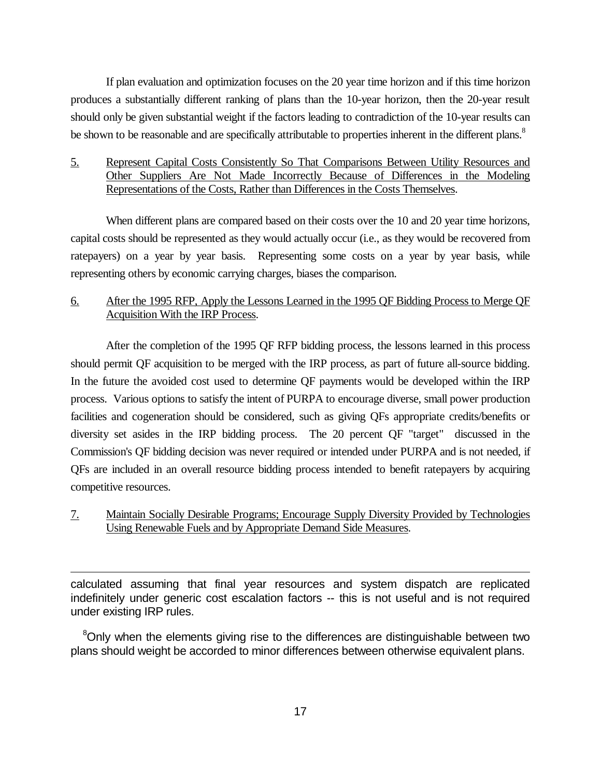If plan evaluation and optimization focuses on the 20 year time horizon and if this time horizon produces a substantially different ranking of plans than the 10-year horizon, then the 20-year result should only be given substantial weight if the factors leading to contradiction of the 10-year results can be shown to be reasonable and are specifically attributable to properties inherent in the different plans.<sup>8</sup>

## 5. Represent Capital Costs Consistently So That Comparisons Between Utility Resources and Other Suppliers Are Not Made Incorrectly Because of Differences in the Modeling Representations of the Costs, Rather than Differences in the Costs Themselves.

When different plans are compared based on their costs over the 10 and 20 year time horizons, capital costs should be represented as they would actually occur (i.e., as they would be recovered from ratepayers) on a year by year basis. Representing some costs on a year by year basis, while representing others by economic carrying charges, biases the comparison.

## 6. After the 1995 RFP, Apply the Lessons Learned in the 1995 QF Bidding Process to Merge QF Acquisition With the IRP Process.

After the completion of the 1995 QF RFP bidding process, the lessons learned in this process should permit QF acquisition to be merged with the IRP process, as part of future all-source bidding. In the future the avoided cost used to determine QF payments would be developed within the IRP process. Various options to satisfy the intent of PURPA to encourage diverse, small power production facilities and cogeneration should be considered, such as giving QFs appropriate credits/benefits or diversity set asides in the IRP bidding process. The 20 percent QF "target" discussed in the Commission's QF bidding decision was never required or intended under PURPA and is not needed, if QFs are included in an overall resource bidding process intended to benefit ratepayers by acquiring competitive resources.

# 7. Maintain Socially Desirable Programs; Encourage Supply Diversity Provided by Technologies Using Renewable Fuels and by Appropriate Demand Side Measures.

calculated assuming that final year resources and system dispatch are replicated indefinitely under generic cost escalation factors -- this is not useful and is not required under existing IRP rules.

<sup>8</sup>Only when the elements giving rise to the differences are distinguishable between two plans should weight be accorded to minor differences between otherwise equivalent plans.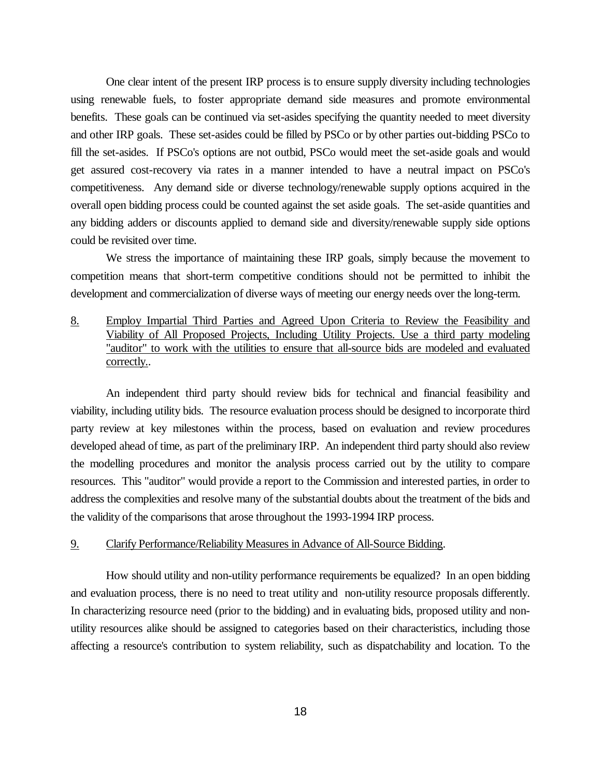One clear intent of the present IRP process is to ensure supply diversity including technologies using renewable fuels, to foster appropriate demand side measures and promote environmental benefits. These goals can be continued via set-asides specifying the quantity needed to meet diversity and other IRP goals. These set-asides could be filled by PSCo or by other parties out-bidding PSCo to fill the set-asides. If PSCo's options are not outbid, PSCo would meet the set-aside goals and would get assured cost-recovery via rates in a manner intended to have a neutral impact on PSCo's competitiveness. Any demand side or diverse technology/renewable supply options acquired in the overall open bidding process could be counted against the set aside goals. The set-aside quantities and any bidding adders or discounts applied to demand side and diversity/renewable supply side options could be revisited over time.

We stress the importance of maintaining these IRP goals, simply because the movement to competition means that short-term competitive conditions should not be permitted to inhibit the development and commercialization of diverse ways of meeting our energy needs over the long-term.

8. Employ Impartial Third Parties and Agreed Upon Criteria to Review the Feasibility and Viability of All Proposed Projects, Including Utility Projects. Use a third party modeling "auditor" to work with the utilities to ensure that all-source bids are modeled and evaluated correctly..

An independent third party should review bids for technical and financial feasibility and viability, including utility bids. The resource evaluation process should be designed to incorporate third party review at key milestones within the process, based on evaluation and review procedures developed ahead of time, as part of the preliminary IRP. An independent third party should also review the modelling procedures and monitor the analysis process carried out by the utility to compare resources. This "auditor" would provide a report to the Commission and interested parties, in order to address the complexities and resolve many of the substantial doubts about the treatment of the bids and the validity of the comparisons that arose throughout the 1993-1994 IRP process.

#### 9. Clarify Performance/Reliability Measures in Advance of All-Source Bidding.

How should utility and non-utility performance requirements be equalized? In an open bidding and evaluation process, there is no need to treat utility and non-utility resource proposals differently. In characterizing resource need (prior to the bidding) and in evaluating bids, proposed utility and nonutility resources alike should be assigned to categories based on their characteristics, including those affecting a resource's contribution to system reliability, such as dispatchability and location. To the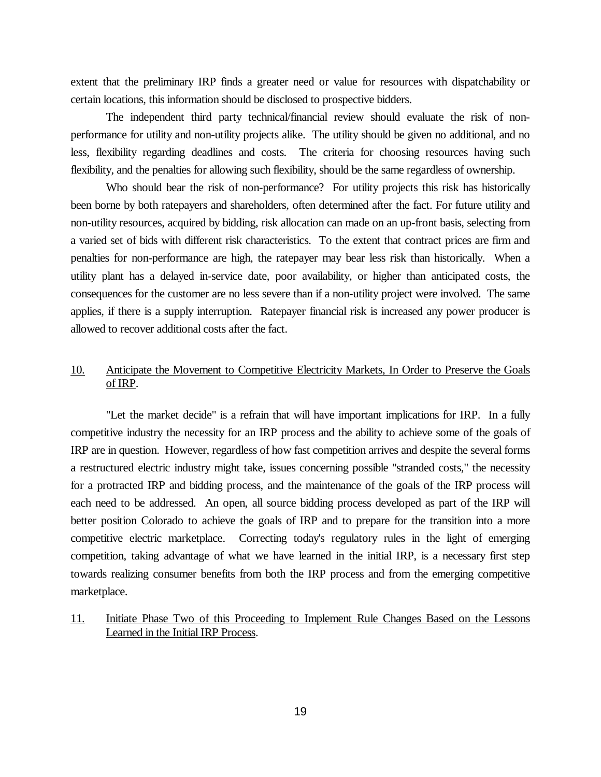extent that the preliminary IRP finds a greater need or value for resources with dispatchability or certain locations, this information should be disclosed to prospective bidders.

The independent third party technical/financial review should evaluate the risk of nonperformance for utility and non-utility projects alike. The utility should be given no additional, and no less, flexibility regarding deadlines and costs. The criteria for choosing resources having such flexibility, and the penalties for allowing such flexibility, should be the same regardless of ownership.

Who should bear the risk of non-performance? For utility projects this risk has historically been borne by both ratepayers and shareholders, often determined after the fact. For future utility and non-utility resources, acquired by bidding, risk allocation can made on an up-front basis, selecting from a varied set of bids with different risk characteristics. To the extent that contract prices are firm and penalties for non-performance are high, the ratepayer may bear less risk than historically. When a utility plant has a delayed in-service date, poor availability, or higher than anticipated costs, the consequences for the customer are no less severe than if a non-utility project were involved. The same applies, if there is a supply interruption. Ratepayer financial risk is increased any power producer is allowed to recover additional costs after the fact.

### 10. Anticipate the Movement to Competitive Electricity Markets, In Order to Preserve the Goals of IRP.

"Let the market decide" is a refrain that will have important implications for IRP. In a fully competitive industry the necessity for an IRP process and the ability to achieve some of the goals of IRP are in question. However, regardless of how fast competition arrives and despite the several forms a restructured electric industry might take, issues concerning possible "stranded costs," the necessity for a protracted IRP and bidding process, and the maintenance of the goals of the IRP process will each need to be addressed. An open, all source bidding process developed as part of the IRP will better position Colorado to achieve the goals of IRP and to prepare for the transition into a more competitive electric marketplace. Correcting today's regulatory rules in the light of emerging competition, taking advantage of what we have learned in the initial IRP, is a necessary first step towards realizing consumer benefits from both the IRP process and from the emerging competitive marketplace.

### 11. Initiate Phase Two of this Proceeding to Implement Rule Changes Based on the Lessons Learned in the Initial IRP Process.